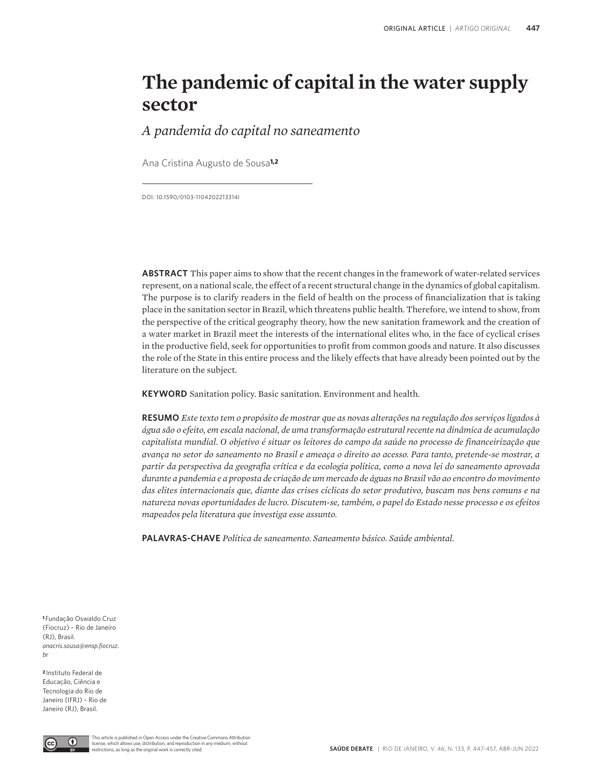# **The pandemic of capital in the water supply sector**

*A pandemia do capital no saneamento*

Ana Cristina Augusto de Sousa**1,2**

DOI: 10.1590/0103-1104202213314I

**ABSTRACT** This paper aims to show that the recent changes in the framework of water-related services represent, on a national scale, the effect of a recent structural change in the dynamics of global capitalism. The purpose is to clarify readers in the field of health on the process of financialization that is taking place in the sanitation sector in Brazil, which threatens public health. Therefore, we intend to show, from the perspective of the critical geography theory, how the new sanitation framework and the creation of a water market in Brazil meet the interests of the international elites who, in the face of cyclical crises in the productive field, seek for opportunities to profit from common goods and nature. It also discusses the role of the State in this entire process and the likely effects that have already been pointed out by the literature on the subject.

**KEYWORD** Sanitation policy. Basic sanitation. Environment and health.

**RESUMO** *Este texto tem o propósito de mostrar que as novas alterações na regulação dos serviços ligados à água são o efeito, em escala nacional, de uma transformação estrutural recente na dinâmica de acumulação capitalista mundial. O objetivo é situar os leitores do campo da saúde no processo de financeirização que avança no setor do saneamento no Brasil e ameaça o direito ao acesso. Para tanto, pretende-se mostrar, a partir da perspectiva da geografia crítica e da ecologia política, como a nova lei do saneamento aprovada durante a pandemia e a proposta de criação de um mercado de águas no Brasil vão ao encontro do movimento das elites internacionais que, diante das crises cíclicas do setor produtivo, buscam nos bens comuns e na natureza novas oportunidades de lucro. Discutem-se, também, o papel do Estado nesse processo e os efeitos mapeados pela literatura que investiga esse assunto.* 

**PALAVRAS-CHAVE** *Política de saneamento. Saneamento básico. Saúde ambiental.*

**<sup>1</sup>**Fundação Oswaldo Cruz (Fiocruz) – Rio de Janeiro (RJ), Brasil. *anacris.sousa@ensp.fiocruz. br*

**<sup>2</sup>**Instituto Federal de Educação, Ciência e Tecnologia do Rio de Janeiro (IFRJ) – Rio de Janeiro (RJ), Brasil.

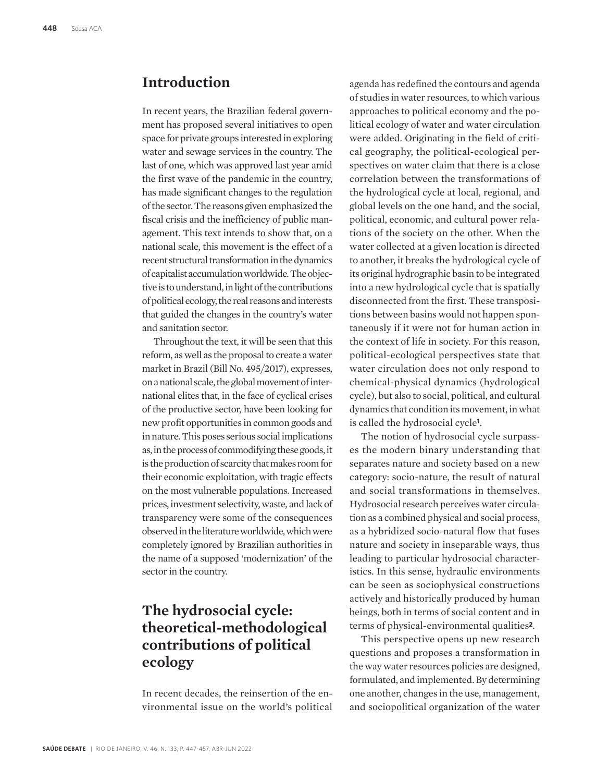#### **Introduction**

In recent years, the Brazilian federal government has proposed several initiatives to open space for private groups interested in exploring water and sewage services in the country. The last of one, which was approved last year amid the first wave of the pandemic in the country, has made significant changes to the regulation of the sector. The reasons given emphasized the fiscal crisis and the inefficiency of public management. This text intends to show that, on a national scale, this movement is the effect of a recent structural transformation in the dynamics of capitalist accumulation worldwide. The objective is to understand, in light of the contributions of political ecology, the real reasons and interests that guided the changes in the country's water and sanitation sector.

Throughout the text, it will be seen that this reform, as well as the proposal to create a water market in Brazil (Bill No. 495/2017), expresses, on a national scale, the global movement of international elites that, in the face of cyclical crises of the productive sector, have been looking for new profit opportunities in common goods and in nature. This poses serious social implications as, in the process of commodifying these goods, it is the production of scarcity that makes room for their economic exploitation, with tragic effects on the most vulnerable populations. Increased prices, investment selectivity, waste, and lack of transparency were some of the consequences observed in the literature worldwide, which were completely ignored by Brazilian authorities in the name of a supposed 'modernization' of the sector in the country.

# **The hydrosocial cycle: theoretical-methodological contributions of political ecology**

In recent decades, the reinsertion of the environmental issue on the world's political

agenda has redefined the contours and agenda of studies in water resources, to which various approaches to political economy and the political ecology of water and water circulation were added. Originating in the field of critical geography, the political-ecological perspectives on water claim that there is a close correlation between the transformations of the hydrological cycle at local, regional, and global levels on the one hand, and the social, political, economic, and cultural power relations of the society on the other. When the water collected at a given location is directed to another, it breaks the hydrological cycle of its original hydrographic basin to be integrated into a new hydrological cycle that is spatially disconnected from the first. These transpositions between basins would not happen spontaneously if it were not for human action in the context of life in society. For this reason, political-ecological perspectives state that water circulation does not only respond to chemical-physical dynamics (hydrological cycle), but also to social, political, and cultural dynamics that condition its movement, in what is called the hydrosocial cycle**1**.

The notion of hydrosocial cycle surpasses the modern binary understanding that separates nature and society based on a new category: socio-nature, the result of natural and social transformations in themselves. Hydrosocial research perceives water circulation as a combined physical and social process, as a hybridized socio-natural flow that fuses nature and society in inseparable ways, thus leading to particular hydrosocial characteristics. In this sense, hydraulic environments can be seen as sociophysical constructions actively and historically produced by human beings, both in terms of social content and in terms of physical-environmental qualities**2**.

This perspective opens up new research questions and proposes a transformation in the way water resources policies are designed, formulated, and implemented. By determining one another, changes in the use, management, and sociopolitical organization of the water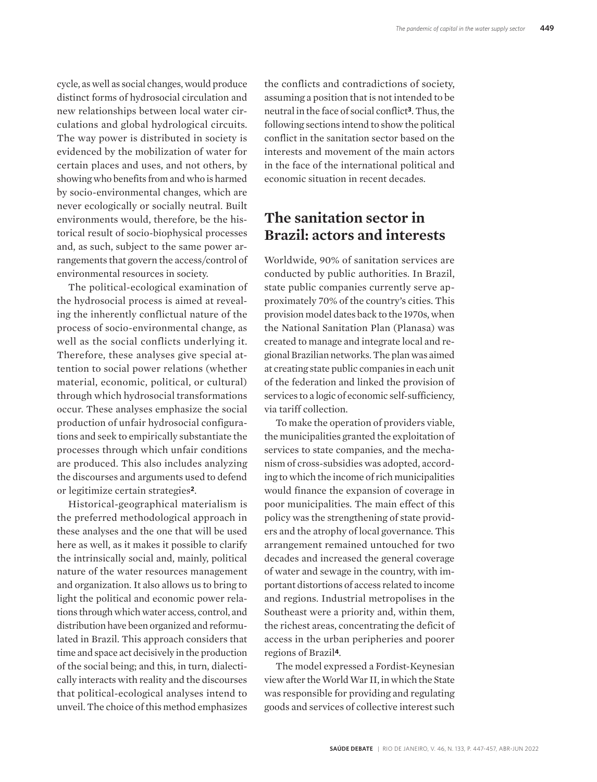cycle, as well as social changes, would produce distinct forms of hydrosocial circulation and new relationships between local water circulations and global hydrological circuits. The way power is distributed in society is evidenced by the mobilization of water for certain places and uses, and not others, by showing who benefits from and who is harmed by socio-environmental changes, which are never ecologically or socially neutral. Built environments would, therefore, be the historical result of socio-biophysical processes and, as such, subject to the same power arrangements that govern the access/control of environmental resources in society.

The political-ecological examination of the hydrosocial process is aimed at revealing the inherently conflictual nature of the process of socio-environmental change, as well as the social conflicts underlying it. Therefore, these analyses give special attention to social power relations (whether material, economic, political, or cultural) through which hydrosocial transformations occur. These analyses emphasize the social production of unfair hydrosocial configurations and seek to empirically substantiate the processes through which unfair conditions are produced. This also includes analyzing the discourses and arguments used to defend or legitimize certain strategies**2**.

Historical-geographical materialism is the preferred methodological approach in these analyses and the one that will be used here as well, as it makes it possible to clarify the intrinsically social and, mainly, political nature of the water resources management and organization. It also allows us to bring to light the political and economic power relations through which water access, control, and distribution have been organized and reformulated in Brazil. This approach considers that time and space act decisively in the production of the social being; and this, in turn, dialectically interacts with reality and the discourses that political-ecological analyses intend to unveil. The choice of this method emphasizes

the conflicts and contradictions of society, assuming a position that is not intended to be neutral in the face of social conflict**3**. Thus, the following sections intend to show the political conflict in the sanitation sector based on the interests and movement of the main actors in the face of the international political and economic situation in recent decades.

## **The sanitation sector in Brazil: actors and interests**

Worldwide, 90% of sanitation services are conducted by public authorities. In Brazil, state public companies currently serve approximately 70% of the country's cities. This provision model dates back to the 1970s, when the National Sanitation Plan (Planasa) was created to manage and integrate local and regional Brazilian networks. The plan was aimed at creating state public companies in each unit of the federation and linked the provision of services to a logic of economic self-sufficiency, via tariff collection.

To make the operation of providers viable, the municipalities granted the exploitation of services to state companies, and the mechanism of cross-subsidies was adopted, according to which the income of rich municipalities would finance the expansion of coverage in poor municipalities. The main effect of this policy was the strengthening of state providers and the atrophy of local governance. This arrangement remained untouched for two decades and increased the general coverage of water and sewage in the country, with important distortions of access related to income and regions. Industrial metropolises in the Southeast were a priority and, within them, the richest areas, concentrating the deficit of access in the urban peripheries and poorer regions of Brazil**4**.

The model expressed a Fordist-Keynesian view after the World War II, in which the State was responsible for providing and regulating goods and services of collective interest such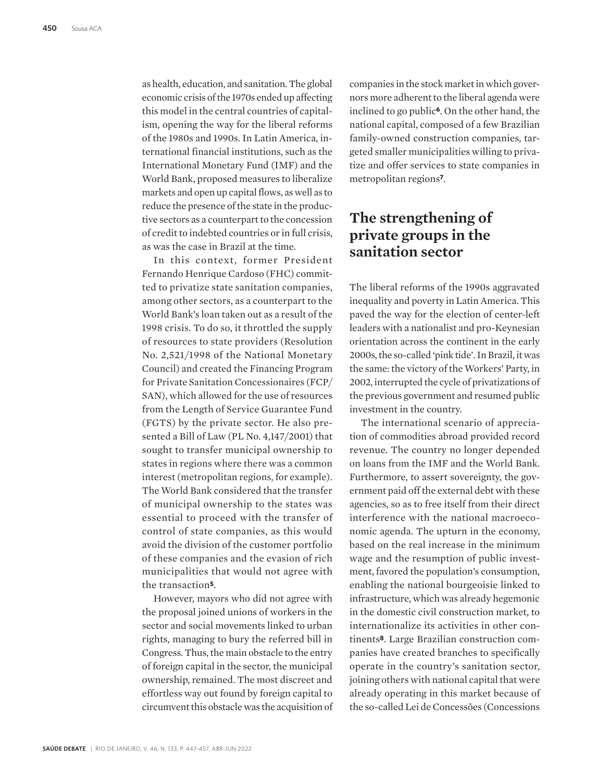as health, education, and sanitation. The global economic crisis of the 1970s ended up affecting this model in the central countries of capitalism, opening the way for the liberal reforms of the 1980s and 1990s. In Latin America, international financial institutions, such as the International Monetary Fund (IMF) and the World Bank, proposed measures to liberalize markets and open up capital flows, as well as to reduce the presence of the state in the productive sectors as a counterpart to the concession of credit to indebted countries or in full crisis, as was the case in Brazil at the time.

In this context, former President Fernando Henrique Cardoso (FHC) committed to privatize state sanitation companies, among other sectors, as a counterpart to the World Bank's loan taken out as a result of the 1998 crisis. To do so, it throttled the supply of resources to state providers (Resolution No. 2,521/1998 of the National Monetary Council) and created the Financing Program for Private Sanitation Concessionaires (FCP/ SAN), which allowed for the use of resources from the Length of Service Guarantee Fund (FGTS) by the private sector. He also presented a Bill of Law (PL No. 4,147/2001) that sought to transfer municipal ownership to states in regions where there was a common interest (metropolitan regions, for example). The World Bank considered that the transfer of municipal ownership to the states was essential to proceed with the transfer of control of state companies, as this would avoid the division of the customer portfolio of these companies and the evasion of rich municipalities that would not agree with the transaction**5**.

However, mayors who did not agree with the proposal joined unions of workers in the sector and social movements linked to urban rights, managing to bury the referred bill in Congress. Thus, the main obstacle to the entry of foreign capital in the sector, the municipal ownership, remained. The most discreet and effortless way out found by foreign capital to circumvent this obstacle was the acquisition of companies in the stock market in which governors more adherent to the liberal agenda were inclined to go public**6**. On the other hand, the national capital, composed of a few Brazilian family-owned construction companies, targeted smaller municipalities willing to privatize and offer services to state companies in metropolitan regions**7**.

# **The strengthening of private groups in the sanitation sector**

The liberal reforms of the 1990s aggravated inequality and poverty in Latin America. This paved the way for the election of center-left leaders with a nationalist and pro-Keynesian orientation across the continent in the early 2000s, the so-called 'pink tide'. In Brazil, it was the same: the victory of the Workers' Party, in 2002, interrupted the cycle of privatizations of the previous government and resumed public investment in the country.

The international scenario of appreciation of commodities abroad provided record revenue. The country no longer depended on loans from the IMF and the World Bank. Furthermore, to assert sovereignty, the government paid off the external debt with these agencies, so as to free itself from their direct interference with the national macroeconomic agenda. The upturn in the economy, based on the real increase in the minimum wage and the resumption of public investment, favored the population's consumption, enabling the national bourgeoisie linked to infrastructure, which was already hegemonic in the domestic civil construction market, to internationalize its activities in other continents**8**. Large Brazilian construction companies have created branches to specifically operate in the country's sanitation sector, joining others with national capital that were already operating in this market because of the so-called Lei de Concessões (Concessions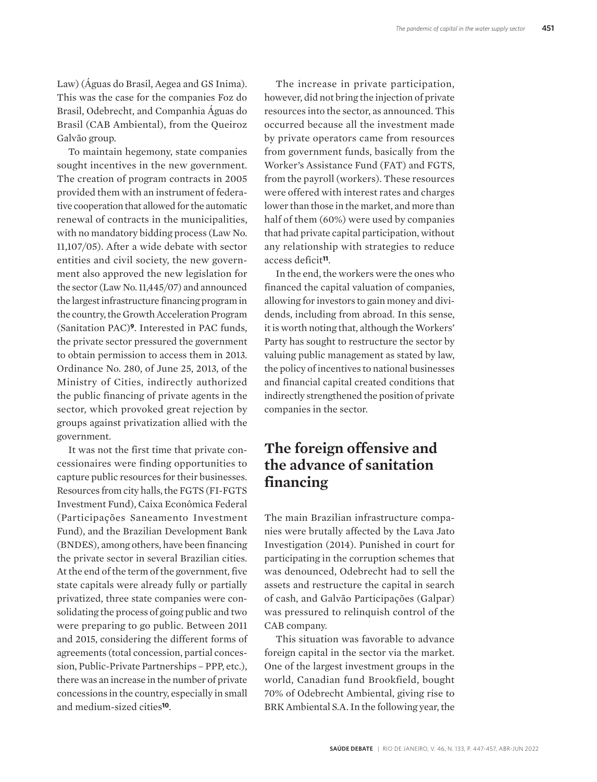Law) (Águas do Brasil, Aegea and GS Inima). This was the case for the companies Foz do Brasil, Odebrecht, and Companhia Águas do Brasil (CAB Ambiental), from the Queiroz Galvão group.

To maintain hegemony, state companies sought incentives in the new government. The creation of program contracts in 2005 provided them with an instrument of federative cooperation that allowed for the automatic renewal of contracts in the municipalities, with no mandatory bidding process (Law No. 11,107/05). After a wide debate with sector entities and civil society, the new government also approved the new legislation for the sector (Law No. 11,445/07) and announced the largest infrastructure financing program in the country, the Growth Acceleration Program (Sanitation PAC)**9**. Interested in PAC funds, the private sector pressured the government to obtain permission to access them in 2013. Ordinance No. 280, of June 25, 2013, of the Ministry of Cities, indirectly authorized the public financing of private agents in the sector, which provoked great rejection by groups against privatization allied with the government.

It was not the first time that private concessionaires were finding opportunities to capture public resources for their businesses. Resources from city halls, the FGTS (FI-FGTS Investment Fund), Caixa Econômica Federal (Participações Saneamento Investment Fund), and the Brazilian Development Bank (BNDES), among others, have been financing the private sector in several Brazilian cities. At the end of the term of the government, five state capitals were already fully or partially privatized, three state companies were consolidating the process of going public and two were preparing to go public. Between 2011 and 2015, considering the different forms of agreements (total concession, partial concession, Public-Private Partnerships – PPP, etc.), there was an increase in the number of private concessions in the country, especially in small and medium-sized cities**10**.

The increase in private participation, however, did not bring the injection of private resources into the sector, as announced. This occurred because all the investment made by private operators came from resources from government funds, basically from the Worker's Assistance Fund (FAT) and FGTS, from the payroll (workers). These resources were offered with interest rates and charges lower than those in the market, and more than half of them (60%) were used by companies that had private capital participation, without any relationship with strategies to reduce access deficit**11**.

In the end, the workers were the ones who financed the capital valuation of companies, allowing for investors to gain money and dividends, including from abroad. In this sense, it is worth noting that, although the Workers' Party has sought to restructure the sector by valuing public management as stated by law, the policy of incentives to national businesses and financial capital created conditions that indirectly strengthened the position of private companies in the sector.

# **The foreign offensive and the advance of sanitation financing**

The main Brazilian infrastructure companies were brutally affected by the Lava Jato Investigation (2014). Punished in court for participating in the corruption schemes that was denounced, Odebrecht had to sell the assets and restructure the capital in search of cash, and Galvão Participações (Galpar) was pressured to relinquish control of the CAB company.

This situation was favorable to advance foreign capital in the sector via the market. One of the largest investment groups in the world, Canadian fund Brookfield, bought 70% of Odebrecht Ambiental, giving rise to BRK Ambiental S.A. In the following year, the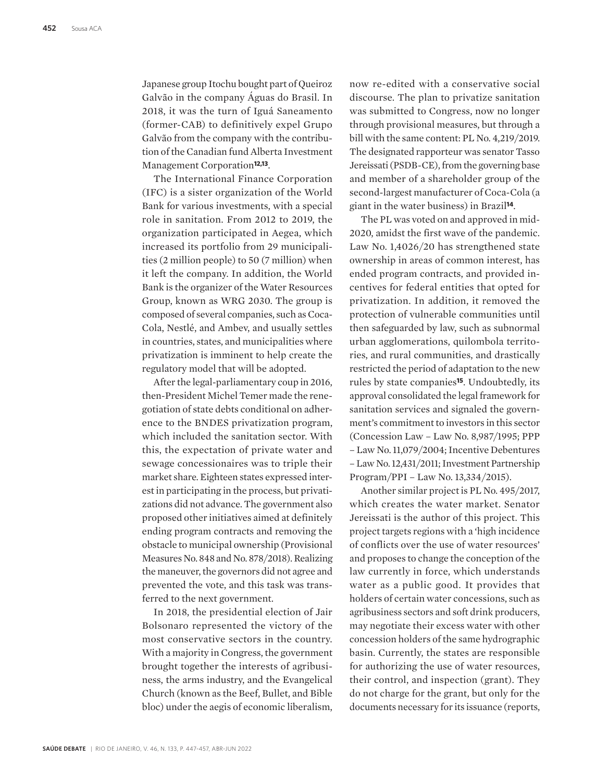Japanese group Itochu bought part of Queiroz Galvão in the company Águas do Brasil. In 2018, it was the turn of Iguá Saneamento (former-CAB) to definitively expel Grupo Galvão from the company with the contribution of the Canadian fund Alberta Investment Management Corporation**12,13**.

The International Finance Corporation (IFC) is a sister organization of the World Bank for various investments, with a special role in sanitation. From 2012 to 2019, the organization participated in Aegea, which increased its portfolio from 29 municipalities (2 million people) to 50 (7 million) when it left the company. In addition, the World Bank is the organizer of the Water Resources Group, known as WRG 2030. The group is composed of several companies, such as Coca-Cola, Nestlé, and Ambev, and usually settles in countries, states, and municipalities where privatization is imminent to help create the regulatory model that will be adopted.

After the legal-parliamentary coup in 2016, then-President Michel Temer made the renegotiation of state debts conditional on adherence to the BNDES privatization program, which included the sanitation sector. With this, the expectation of private water and sewage concessionaires was to triple their market share. Eighteen states expressed interest in participating in the process, but privatizations did not advance. The government also proposed other initiatives aimed at definitely ending program contracts and removing the obstacle to municipal ownership (Provisional Measures No. 848 and No. 878/2018). Realizing the maneuver, the governors did not agree and prevented the vote, and this task was transferred to the next government.

In 2018, the presidential election of Jair Bolsonaro represented the victory of the most conservative sectors in the country. With a majority in Congress, the government brought together the interests of agribusiness, the arms industry, and the Evangelical Church (known as the Beef, Bullet, and Bible bloc) under the aegis of economic liberalism,

now re-edited with a conservative social discourse. The plan to privatize sanitation was submitted to Congress, now no longer through provisional measures, but through a bill with the same content: PL No. 4,219/2019. The designated rapporteur was senator Tasso Jereissati (PSDB-CE), from the governing base and member of a shareholder group of the second-largest manufacturer of Coca-Cola (a giant in the water business) in Brazil**14**.

The PL was voted on and approved in mid-2020, amidst the first wave of the pandemic. Law No. 1,4026/20 has strengthened state ownership in areas of common interest, has ended program contracts, and provided incentives for federal entities that opted for privatization. In addition, it removed the protection of vulnerable communities until then safeguarded by law, such as subnormal urban agglomerations, quilombola territories, and rural communities, and drastically restricted the period of adaptation to the new rules by state companies**15**. Undoubtedly, its approval consolidated the legal framework for sanitation services and signaled the government's commitment to investors in this sector (Concession Law – Law No. 8,987/1995; PPP – Law No. 11,079/2004; Incentive Debentures – Law No. 12,431/2011; Investment Partnership Program/PPI – Law No. 13,334/2015).

Another similar project is PL No. 495/2017, which creates the water market. Senator Jereissati is the author of this project. This project targets regions with a 'high incidence of conflicts over the use of water resources' and proposes to change the conception of the law currently in force, which understands water as a public good. It provides that holders of certain water concessions, such as agribusiness sectors and soft drink producers, may negotiate their excess water with other concession holders of the same hydrographic basin. Currently, the states are responsible for authorizing the use of water resources, their control, and inspection (grant). They do not charge for the grant, but only for the documents necessary for its issuance (reports,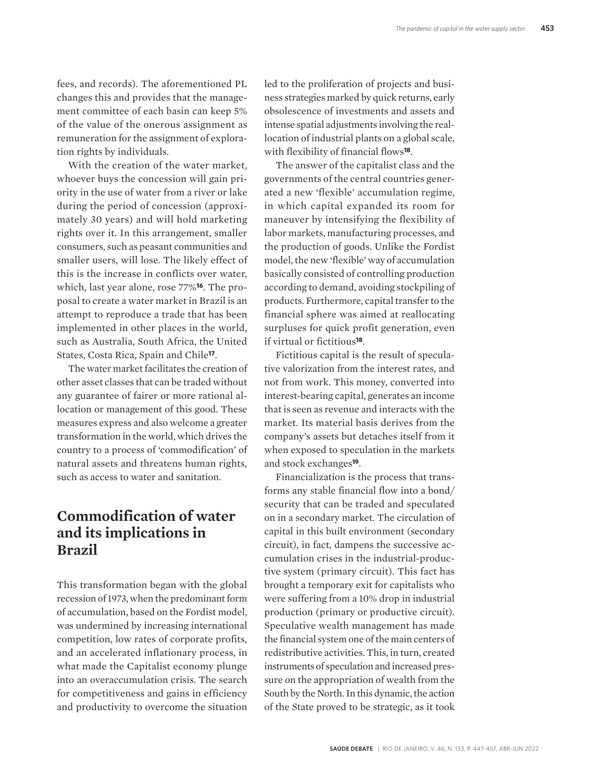fees, and records). The aforementioned PL changes this and provides that the management committee of each basin can keep 5% of the value of the onerous assignment as remuneration for the assignment of exploration rights by individuals.

With the creation of the water market, whoever buys the concession will gain priority in the use of water from a river or lake during the period of concession (approximately 30 years) and will hold marketing rights over it. In this arrangement, smaller consumers, such as peasant communities and smaller users, will lose. The likely effect of this is the increase in conflicts over water, which, last year alone, rose 77%**16**. The proposal to create a water market in Brazil is an attempt to reproduce a trade that has been implemented in other places in the world, such as Australia, South Africa, the United States, Costa Rica, Spain and Chile**17**.

The water market facilitates the creation of other asset classes that can be traded without any guarantee of fairer or more rational allocation or management of this good. These measures express and also welcome a greater transformation in the world, which drives the country to a process of 'commodification' of natural assets and threatens human rights, such as access to water and sanitation.

## **Commodification of water and its implications in Brazil**

This transformation began with the global recession of 1973, when the predominant form of accumulation, based on the Fordist model, was undermined by increasing international competition, low rates of corporate profits, and an accelerated inflationary process, in what made the Capitalist economy plunge into an overaccumulation crisis. The search for competitiveness and gains in efficiency and productivity to overcome the situation led to the proliferation of projects and business strategies marked by quick returns, early obsolescence of investments and assets and intense spatial adjustments involving the reallocation of industrial plants on a global scale, with flexibility of financial flows**18**.

The answer of the capitalist class and the governments of the central countries generated a new 'flexible' accumulation regime, in which capital expanded its room for maneuver by intensifying the flexibility of labor markets, manufacturing processes, and the production of goods. Unlike the Fordist model, the new 'flexible' way of accumulation basically consisted of controlling production according to demand, avoiding stockpiling of products. Furthermore, capital transfer to the financial sphere was aimed at reallocating surpluses for quick profit generation, even if virtual or fictitious**18**.

Fictitious capital is the result of speculative valorization from the interest rates, and not from work. This money, converted into interest-bearing capital, generates an income that is seen as revenue and interacts with the market. Its material basis derives from the company's assets but detaches itself from it when exposed to speculation in the markets and stock exchanges**19**.

Financialization is the process that transforms any stable financial flow into a bond/ security that can be traded and speculated on in a secondary market. The circulation of capital in this built environment (secondary circuit), in fact, dampens the successive accumulation crises in the industrial-productive system (primary circuit). This fact has brought a temporary exit for capitalists who were suffering from a 10% drop in industrial production (primary or productive circuit). Speculative wealth management has made the financial system one of the main centers of redistributive activities. This, in turn, created instruments of speculation and increased pressure on the appropriation of wealth from the South by the North. In this dynamic, the action of the State proved to be strategic, as it took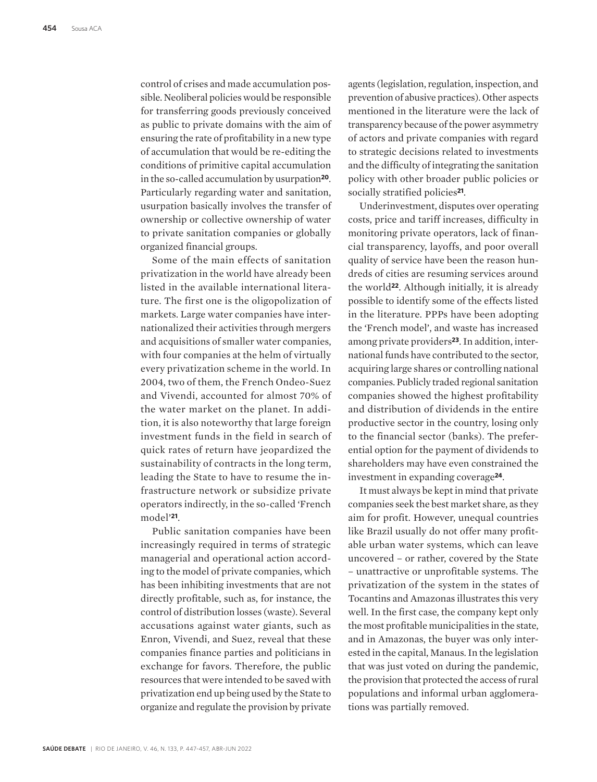control of crises and made accumulation possible. Neoliberal policies would be responsible for transferring goods previously conceived as public to private domains with the aim of ensuring the rate of profitability in a new type of accumulation that would be re-editing the conditions of primitive capital accumulation in the so-called accumulation by usurpation**20**. Particularly regarding water and sanitation, usurpation basically involves the transfer of ownership or collective ownership of water to private sanitation companies or globally organized financial groups.

Some of the main effects of sanitation privatization in the world have already been listed in the available international literature. The first one is the oligopolization of markets. Large water companies have internationalized their activities through mergers and acquisitions of smaller water companies, with four companies at the helm of virtually every privatization scheme in the world. In 2004, two of them, the French Ondeo-Suez and Vivendi, accounted for almost 70% of the water market on the planet. In addition, it is also noteworthy that large foreign investment funds in the field in search of quick rates of return have jeopardized the sustainability of contracts in the long term, leading the State to have to resume the infrastructure network or subsidize private operators indirectly, in the so-called 'French model'**21**.

Public sanitation companies have been increasingly required in terms of strategic managerial and operational action according to the model of private companies, which has been inhibiting investments that are not directly profitable, such as, for instance, the control of distribution losses (waste). Several accusations against water giants, such as Enron, Vivendi, and Suez, reveal that these companies finance parties and politicians in exchange for favors. Therefore, the public resources that were intended to be saved with privatization end up being used by the State to organize and regulate the provision by private agents (legislation, regulation, inspection, and prevention of abusive practices). Other aspects mentioned in the literature were the lack of transparency because of the power asymmetry of actors and private companies with regard to strategic decisions related to investments and the difficulty of integrating the sanitation policy with other broader public policies or socially stratified policies**21**.

Underinvestment, disputes over operating costs, price and tariff increases, difficulty in monitoring private operators, lack of financial transparency, layoffs, and poor overall quality of service have been the reason hundreds of cities are resuming services around the world**22**. Although initially, it is already possible to identify some of the effects listed in the literature. PPPs have been adopting the 'French model', and waste has increased among private providers**23**. In addition, international funds have contributed to the sector, acquiring large shares or controlling national companies. Publicly traded regional sanitation companies showed the highest profitability and distribution of dividends in the entire productive sector in the country, losing only to the financial sector (banks). The preferential option for the payment of dividends to shareholders may have even constrained the investment in expanding coverage**24**.

It must always be kept in mind that private companies seek the best market share, as they aim for profit. However, unequal countries like Brazil usually do not offer many profitable urban water systems, which can leave uncovered – or rather, covered by the State – unattractive or unprofitable systems. The privatization of the system in the states of Tocantins and Amazonas illustrates this very well. In the first case, the company kept only the most profitable municipalities in the state, and in Amazonas, the buyer was only interested in the capital, Manaus. In the legislation that was just voted on during the pandemic, the provision that protected the access of rural populations and informal urban agglomerations was partially removed.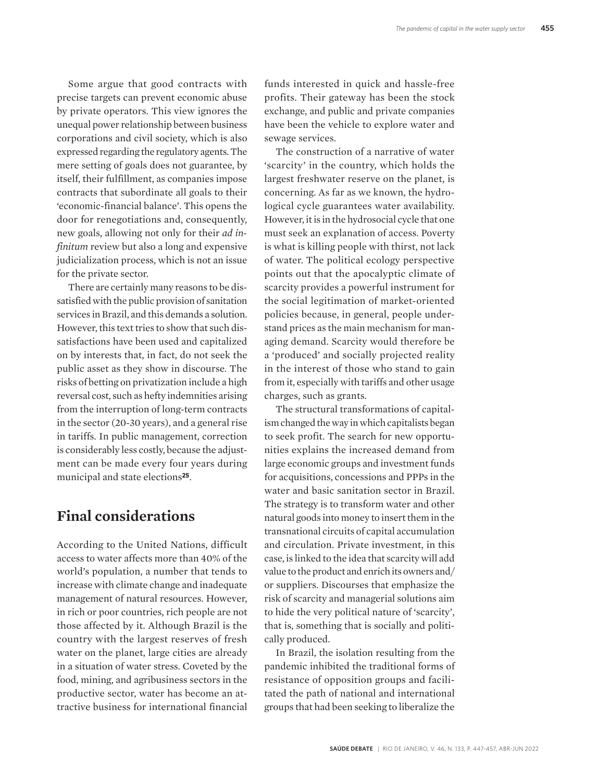Some argue that good contracts with precise targets can prevent economic abuse by private operators. This view ignores the unequal power relationship between business corporations and civil society, which is also expressed regarding the regulatory agents. The mere setting of goals does not guarantee, by itself, their fulfillment, as companies impose contracts that subordinate all goals to their 'economic-financial balance'. This opens the door for renegotiations and, consequently, new goals, allowing not only for their *ad infinitum* review but also a long and expensive judicialization process, which is not an issue for the private sector.

There are certainly many reasons to be dissatisfied with the public provision of sanitation services in Brazil, and this demands a solution. However, this text tries to show that such dissatisfactions have been used and capitalized on by interests that, in fact, do not seek the public asset as they show in discourse. The risks of betting on privatization include a high reversal cost, such as hefty indemnities arising from the interruption of long-term contracts in the sector (20-30 years), and a general rise in tariffs. In public management, correction is considerably less costly, because the adjustment can be made every four years during municipal and state elections**25**.

#### **Final considerations**

According to the United Nations, difficult access to water affects more than 40% of the world's population, a number that tends to increase with climate change and inadequate management of natural resources. However, in rich or poor countries, rich people are not those affected by it. Although Brazil is the country with the largest reserves of fresh water on the planet, large cities are already in a situation of water stress. Coveted by the food, mining, and agribusiness sectors in the productive sector, water has become an attractive business for international financial

funds interested in quick and hassle-free profits. Their gateway has been the stock exchange, and public and private companies have been the vehicle to explore water and sewage services.

The construction of a narrative of water 'scarcity' in the country, which holds the largest freshwater reserve on the planet, is concerning. As far as we known, the hydrological cycle guarantees water availability. However, it is in the hydrosocial cycle that one must seek an explanation of access. Poverty is what is killing people with thirst, not lack of water. The political ecology perspective points out that the apocalyptic climate of scarcity provides a powerful instrument for the social legitimation of market-oriented policies because, in general, people understand prices as the main mechanism for managing demand. Scarcity would therefore be a 'produced' and socially projected reality in the interest of those who stand to gain from it, especially with tariffs and other usage charges, such as grants.

The structural transformations of capitalism changed the way in which capitalists began to seek profit. The search for new opportunities explains the increased demand from large economic groups and investment funds for acquisitions, concessions and PPPs in the water and basic sanitation sector in Brazil. The strategy is to transform water and other natural goods into money to insert them in the transnational circuits of capital accumulation and circulation. Private investment, in this case, is linked to the idea that scarcity will add value to the product and enrich its owners and/ or suppliers. Discourses that emphasize the risk of scarcity and managerial solutions aim to hide the very political nature of 'scarcity', that is, something that is socially and politically produced.

In Brazil, the isolation resulting from the pandemic inhibited the traditional forms of resistance of opposition groups and facilitated the path of national and international groups that had been seeking to liberalize the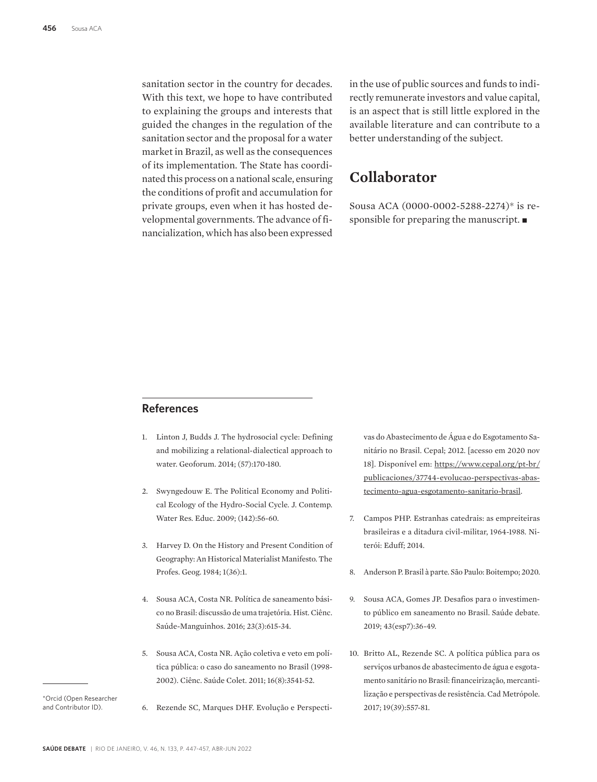sanitation sector in the country for decades. With this text, we hope to have contributed to explaining the groups and interests that guided the changes in the regulation of the sanitation sector and the proposal for a water market in Brazil, as well as the consequences of its implementation. The State has coordinated this process on a national scale, ensuring the conditions of profit and accumulation for private groups, even when it has hosted developmental governments. The advance of financialization, which has also been expressed

in the use of public sources and funds to indirectly remunerate investors and value capital, is an aspect that is still little explored in the available literature and can contribute to a better understanding of the subject.

#### **Collaborator**

Sousa ACA (0000-0002-5288-2274)\* is responsible for preparing the manuscript.  $\blacksquare$ 

#### **References**

- 1. Linton J, Budds J. The hydrosocial cycle: Defining and mobilizing a relational-dialectical approach to water. Geoforum. 2014; (57):170-180.
- 2. Swyngedouw E. The Political Economy and Political Ecology of the Hydro-Social Cycle. J. Contemp. Water Res. Educ. 2009; (142):56-60.
- 3. Harvey D. On the History and Present Condition of Geography: An Historical Materialist Manifesto. The Profes. Geog. 1984; 1(36):1.
- 4. Sousa ACA, Costa NR. Política de saneamento básico no Brasil: discussão de uma trajetória. Hist. Ciênc. Saúde-Manguinhos. 2016; 23(3):615-34.
- 5. Sousa ACA, Costa NR. Ação coletiva e veto em política pública: o caso do saneamento no Brasil (1998- 2002). Ciênc. Saúde Colet. 2011; 16(8):3541-52.

vas do Abastecimento de Água e do Esgotamento Sanitário no Brasil. Cepal; 2012. [acesso em 2020 nov 18]. Disponível em: https://www.cepal.org/pt-br/ publicaciones/37744-evolucao-perspectivas-abastecimento-agua-esgotamento-sanitario-brasil.

- 7. Campos PHP. Estranhas catedrais: as empreiteiras brasileiras e a ditadura civil-militar, 1964-1988. Niterói: Eduff; 2014.
- 8. Anderson P. Brasil à parte. São Paulo: Boitempo; 2020.
- 9. Sousa ACA, Gomes JP. Desafios para o investimento público em saneamento no Brasil. Saúde debate. 2019; 43(esp7):36-49.
- 10. Britto AL, Rezende SC. A política pública para os serviços urbanos de abastecimento de água e esgotamento sanitário no Brasil: financeirização, mercantilização e perspectivas de resistência. Cad Metrópole. 2017; 19(39):557-81.

\*Orcid (Open Researcher and Contributor ID).

6. Rezende SC, Marques DHF. Evolução e Perspecti-